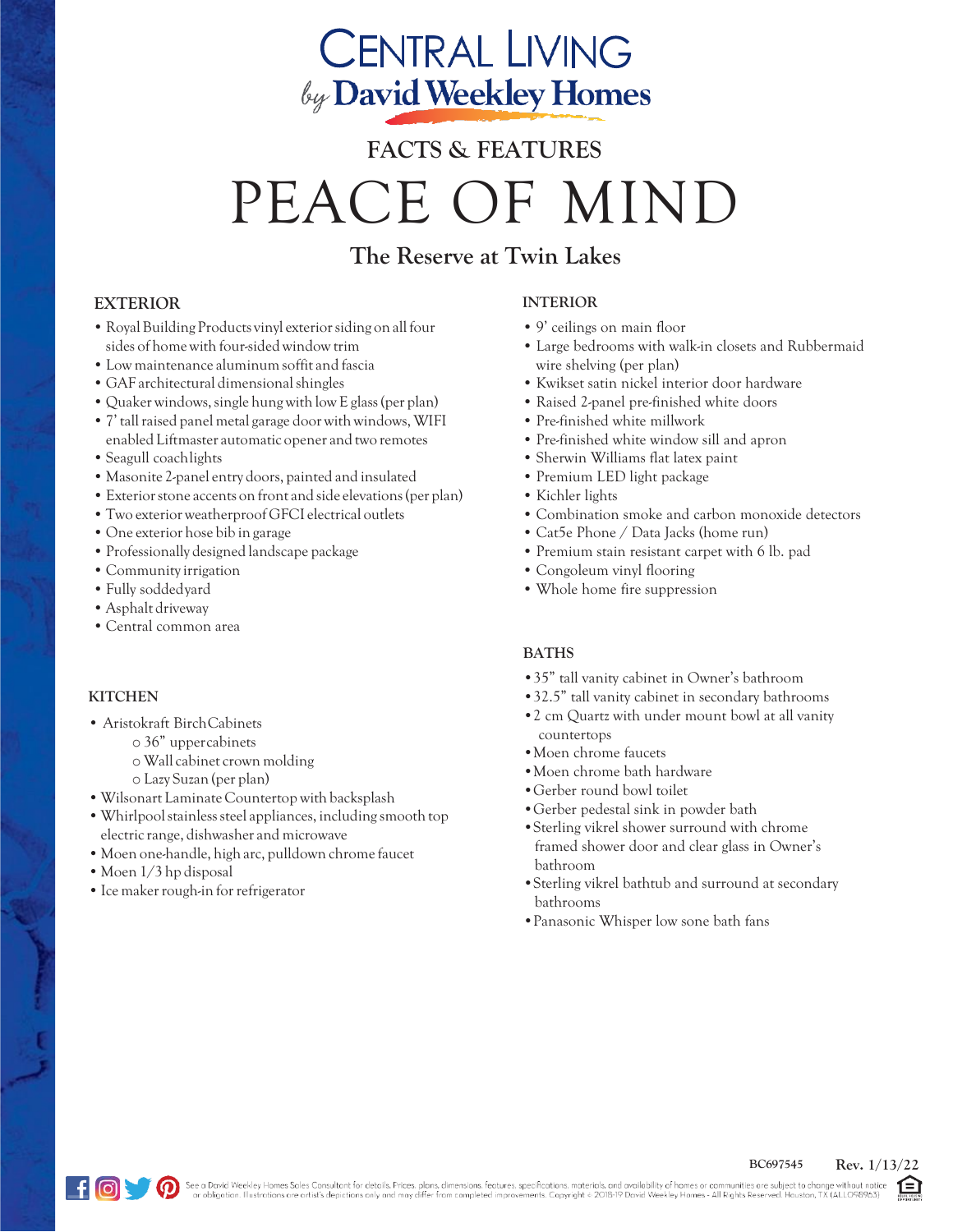## **CENTRAL LIVING** by David Weekley Homes

# **FACTS & FEATURES** PEACE OF MIND

### **The Reserve at Twin Lakes**

#### **EXTERIOR**

- Royal Building Products vinyl exterior siding on all four sides of home with four-sided window trim
- •Low maintenance aluminumsoffit and fascia
- GAF architectural dimensional shingles
- Quaker windows,single hung with low E glass(per plan)
- •7' tallraised panel metal garage door withwindows,WIFI enabled Liftmaster automatic opener and two remotes
- Seagull coachlights
- Masonite 2-panel entry doors, painted and insulated
- •Exteriorstone accents on front and side elevations(per plan)
- •Two exteriorweatherproof GFCI electrical outlets
- One exterior hose bib in garage
- •Professionally designed landscape package
- Community irrigation
- •Fully soddedyard
- •Asphalt driveway
- Central common area

#### **KITCHEN**

- Aristokraft BirchCabinets
	- o 36" uppercabinets
	- o Wall cabinet crown molding
	- o Lazy Suzan (per plan)
- •Wilsonart Laminate Countertop with backsplash
- Whirlpool stainless steel appliances, including smooth top electric range, dishwasher and microwave
- Moen one-handle, high arc, pulldown chrome faucet
- Moen 1/3 hp disposal
- Ice maker rough-in for refrigerator

#### **INTERIOR**

- 9' ceilings on main floor
- Large bedrooms with walk-in closets and Rubbermaid wire shelving (per plan)
- Kwikset satin nickel interior door hardware
- Raised 2-panel pre-finished white doors
- Pre-finished white millwork
- Pre-finished white window sill and apron
- Sherwin Williams flat latex paint
- Premium LED light package
- Kichler lights
- Combination smoke and carbon monoxide detectors
- Cat5e Phone / Data Jacks (home run)
- Premium stain resistant carpet with 6 lb. pad
- Congoleum vinyl flooring
- Whole home fire suppression

#### **BATHS**

- •35" tall vanity cabinet in Owner's bathroom
- •32.5" tall vanity cabinet in secondary bathrooms
- •2 cm Quartz with under mount bowl at all vanity countertops
- •Moen chrome faucets
- •Moen chrome bath hardware
- •Gerber round bowl toilet
- •Gerber pedestal sink in powder bath
- •Sterling vikrel shower surround with chrome framed shower door and clear glass in Owner's bathroom
- •Sterling vikrel bathtub and surround at secondary bathrooms
- •Panasonic Whisper low sone bath fans